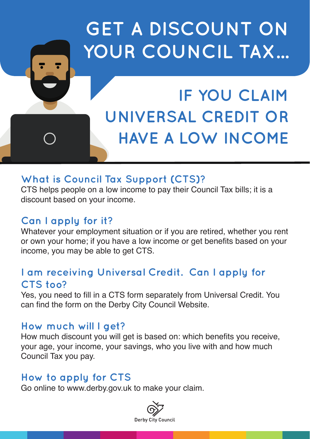# **GET A DISCOUNT ON YOUR COUNCIL TAX...**

# **IF YOU CLAIM UNIVERSAL CREDIT OR HAVE A LOW INCOME**

# **What is Council Tax Support (CTS)?**

CTS helps people on a low income to pay their Council Tax bills; it is a discount based on your income.

### **Can I apply for it?**

Whatever your employment situation or if you are retired, whether you rent or own your home; if you have a low income or get benefits based on your income, you may be able to get CTS.

#### **I am receiving Universal Credit. Can I apply for CTS too?**

Yes, you need to fill in a CTS form separately from Universal Credit. You can find the form on the Derby City Council Website.

#### **How much will I get?**

How much discount you will get is based on: which benefits you receive, your age, your income, your savings, who you live with and how much Council Tax you pay.

# **How to apply for CTS**

Go online to www.derby.gov.uk to make your claim.